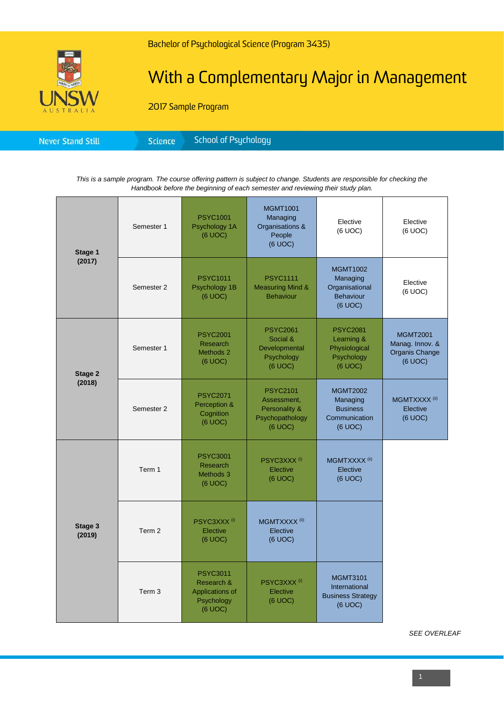

## With a Complementary Major in Management

2017 Sample Program

|--|

*This is a sample program. The course offering pattern is subject to change. Students are responsible for checking the Handbook before the beginning of each semester and reviewing their study plan.*

| Stage 1<br>(2017) | Semester 1        | <b>PSYC1001</b><br>Psychology 1A<br>(6 UOC)                               | <b>MGMT1001</b><br>Managing<br>Organisations &<br>People<br>(6 UOC)           | Elective<br>(6 UOC)                                                        | Elective<br>(6 UOC)                                             |
|-------------------|-------------------|---------------------------------------------------------------------------|-------------------------------------------------------------------------------|----------------------------------------------------------------------------|-----------------------------------------------------------------|
|                   | Semester 2        | <b>PSYC1011</b><br>Psychology 1B<br>(6 UOC)                               | <b>PSYC1111</b><br><b>Measuring Mind &amp;</b><br><b>Behaviour</b>            | <b>MGMT1002</b><br>Managing<br>Organisational<br>Behaviour<br>(6 UOC)      | Elective<br>(6 UOC)                                             |
| Stage 2<br>(2018) | Semester 1        | <b>PSYC2001</b><br><b>Research</b><br>Methods 2<br>(6 UOC)                | <b>PSYC2061</b><br>Social &<br>Developmental<br>Psychology<br>(6 UOC)         | <b>PSYC2081</b><br>Learning &<br>Physiological<br>Psychology<br>(6 UOC)    | <b>MGMT2001</b><br>Manag. Innov. &<br>Organis Change<br>(6 UOC) |
|                   | Semester 2        | <b>PSYC2071</b><br>Perception &<br>Cognition<br>(6 UOC)                   | <b>PSYC2101</b><br>Assessment,<br>Personality &<br>Psychopathology<br>(6 UOC) | <b>MGMT2002</b><br>Managing<br><b>Business</b><br>Communication<br>(6 UOC) | MGMTXXXX <sup>(ii)</sup><br>Elective<br>(6 UOC)                 |
| Stage 3<br>(2019) | Term 1            | <b>PSYC3001</b><br>Research<br>Methods 3<br>(6 UOC)                       | PSYC3XXX <sup>(i)</sup><br>Elective<br>(6 UOC)                                | MGMTXXXX <sup>(ii)</sup><br>Elective<br>(6 UOC)                            |                                                                 |
|                   | Term 2            | PSYC3XXX <sup>(i)</sup><br>Elective<br>(6 UOC)                            | MGMTXXXX <sup>(ii)</sup><br>Elective<br>(6 UOC)                               |                                                                            |                                                                 |
|                   | Term <sub>3</sub> | <b>PSYC3011</b><br>Research &<br>Applications of<br>Psychology<br>(6 UOC) | PSYC3XXX <sup>(i)</sup><br>Elective<br>(6 UOC)                                | <b>MGMT3101</b><br>International<br><b>Business Strategy</b><br>(6 UOC)    |                                                                 |

*SEE OVERLEAF*